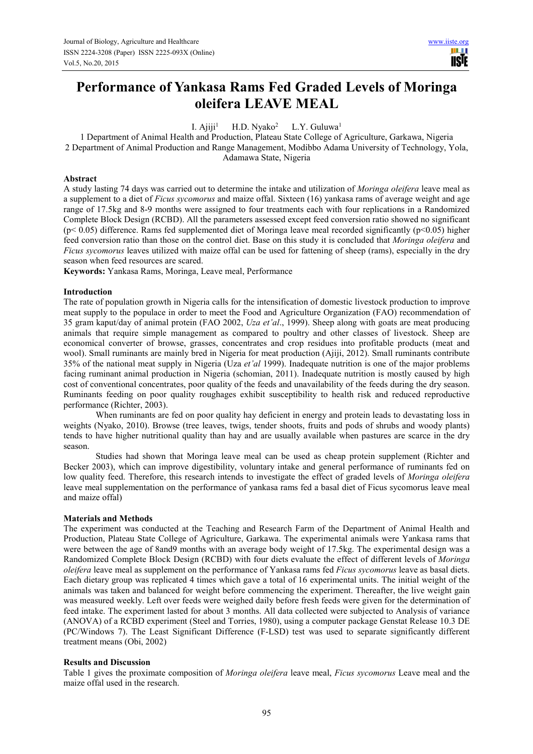# **Performance of Yankasa Rams Fed Graded Levels of Moringa oleifera LEAVE MEAL**

I.  $Aiii<sup>1</sup>$ H.D. Nyako<sup>2</sup> L.Y. Guluwa<sup>1</sup>

1 Department of Animal Health and Production, Plateau State College of Agriculture, Garkawa, Nigeria 2 Department of Animal Production and Range Management, Modibbo Adama University of Technology, Yola,

Adamawa State, Nigeria

# **Abstract**

A study lasting 74 days was carried out to determine the intake and utilization of *Moringa oleifera* leave meal as a supplement to a diet of *Ficus sycomorus* and maize offal. Sixteen (16) yankasa rams of average weight and age range of 17.5kg and 8-9 months were assigned to four treatments each with four replications in a Randomized Complete Block Design (RCBD). All the parameters assessed except feed conversion ratio showed no significant  $(p< 0.05)$  difference. Rams fed supplemented diet of Moringa leave meal recorded significantly  $(p< 0.05)$  higher feed conversion ratio than those on the control diet. Base on this study it is concluded that *Moringa oleifera* and *Ficus sycomorus* leaves utilized with maize offal can be used for fattening of sheep (rams), especially in the dry season when feed resources are scared.

**Keywords:** Yankasa Rams, Moringa, Leave meal, Performance

### **Introduction**

The rate of population growth in Nigeria calls for the intensification of domestic livestock production to improve meat supply to the populace in order to meet the Food and Agriculture Organization (FAO) recommendation of 35 gram kaput/day of animal protein (FAO 2002, *Uza et'al*., 1999). Sheep along with goats are meat producing animals that require simple management as compared to poultry and other classes of livestock. Sheep are economical converter of browse, grasses, concentrates and crop residues into profitable products (meat and wool). Small ruminants are mainly bred in Nigeria for meat production (Ajiji, 2012). Small ruminants contribute 35% of the national meat supply in Nigeria (Uza *et'al* 1999). Inadequate nutrition is one of the major problems facing ruminant animal production in Nigeria (schomian, 2011). Inadequate nutrition is mostly caused by high cost of conventional concentrates, poor quality of the feeds and unavailability of the feeds during the dry season. Ruminants feeding on poor quality roughages exhibit susceptibility to health risk and reduced reproductive performance (Richter, 2003).

When ruminants are fed on poor quality hay deficient in energy and protein leads to devastating loss in weights (Nyako, 2010). Browse (tree leaves, twigs, tender shoots, fruits and pods of shrubs and woody plants) tends to have higher nutritional quality than hay and are usually available when pastures are scarce in the dry season.

Studies had shown that Moringa leave meal can be used as cheap protein supplement (Richter and Becker 2003), which can improve digestibility, voluntary intake and general performance of ruminants fed on low quality feed. Therefore, this research intends to investigate the effect of graded levels of *Moringa oleifera* leave meal supplementation on the performance of yankasa rams fed a basal diet of Ficus sycomorus leave meal and maize offal)

#### **Materials and Methods**

The experiment was conducted at the Teaching and Research Farm of the Department of Animal Health and Production, Plateau State College of Agriculture, Garkawa. The experimental animals were Yankasa rams that were between the age of 8and9 months with an average body weight of 17.5kg. The experimental design was a Randomized Complete Block Design (RCBD) with four diets evaluate the effect of different levels of *Moringa oleifera* leave meal as supplement on the performance of Yankasa rams fed *Ficus sycomorus* leave as basal diets. Each dietary group was replicated 4 times which gave a total of 16 experimental units. The initial weight of the animals was taken and balanced for weight before commencing the experiment. Thereafter, the live weight gain was measured weekly. Left over feeds were weighed daily before fresh feeds were given for the determination of feed intake. The experiment lasted for about 3 months. All data collected were subjected to Analysis of variance (ANOVA) of a RCBD experiment (Steel and Torries, 1980), using a computer package Genstat Release 10.3 DE (PC/Windows 7). The Least Significant Difference (F-LSD) test was used to separate significantly different treatment means (Obi, 2002)

# **Results and Discussion**

Table 1 gives the proximate composition of *Moringa oleifera* leave meal, *Ficus sycomorus* Leave meal and the maize offal used in the research.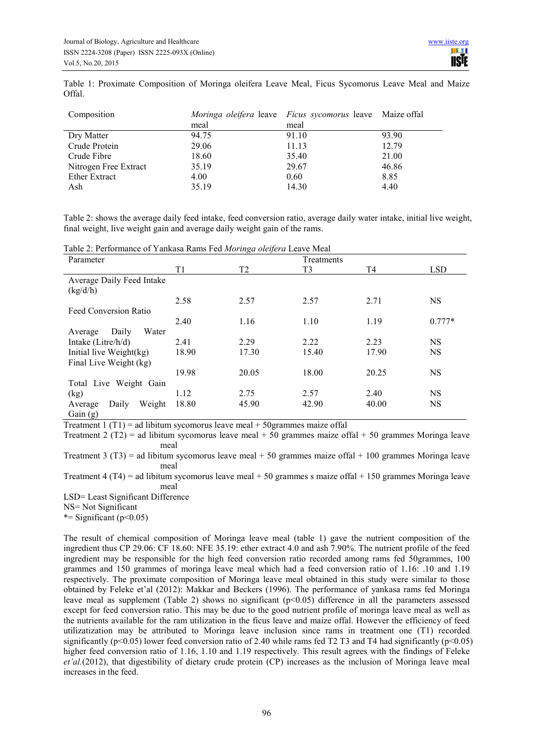Table 1: Proximate Composition of Moringa oleifera Leave Meal, Ficus Sycomorus Leave Meal and Maize Offal.

| Composition           |       | <i>Moringa oleifera</i> leave <i>Ficus sycomorus</i> leave Maize offal |       |  |
|-----------------------|-------|------------------------------------------------------------------------|-------|--|
|                       | meal  | meal                                                                   |       |  |
| Dry Matter            | 94.75 | 91.10                                                                  | 93.90 |  |
| Crude Protein         | 29.06 | 11.13                                                                  | 12.79 |  |
| Crude Fibre           | 18.60 | 35.40                                                                  | 21.00 |  |
| Nitrogen Free Extract | 35.19 | 29.67                                                                  | 46.86 |  |
| <b>Ether Extract</b>  | 4.00  | 0.60                                                                   | 8.85  |  |
| Ash                   | 35.19 | 14.30                                                                  | 4.40  |  |

Table 2: shows the average daily feed intake, feed conversion ratio, average daily water intake, initial live weight, final weight, live weight gain and average daily weight gain of the rams.

Table 2: Performance of Yankasa Rams Fed *Moringa oleifera* Leave Meal

| Parameter                  |       |                | Treatments     |       |            |
|----------------------------|-------|----------------|----------------|-------|------------|
|                            | T1    | T <sub>2</sub> | T <sub>3</sub> | T4    | <b>LSD</b> |
| Average Daily Feed Intake  |       |                |                |       |            |
| (kg/d/h)                   |       |                |                |       |            |
|                            | 2.58  | 2.57           | 2.57           | 2.71  | <b>NS</b>  |
| Feed Conversion Ratio      |       |                |                |       |            |
|                            | 2.40  | 1.16           | 1.10           | 1.19  | $0.777*$   |
| Water<br>Daily<br>Average  |       |                |                |       |            |
| Intake (Litre/h/d)         | 2.41  | 2.29           | 2.22           | 2.23  | <b>NS</b>  |
| Initial live Weight(kg)    | 18.90 | 17.30          | 15.40          | 17.90 | <b>NS</b>  |
| Final Live Weight (kg)     |       |                |                |       |            |
|                            | 19.98 | 20.05          | 18.00          | 20.25 | <b>NS</b>  |
| Total Live Weight Gain     |       |                |                |       |            |
| (kg)                       | 1.12  | 2.75           | 2.57           | 2.40  | <b>NS</b>  |
| Weight<br>Daily<br>Average | 18.80 | 45.90          | 42.90          | 40.00 | <b>NS</b>  |
| Gain $(g)$                 |       |                |                |       |            |

Treatment 1 (T1) = ad libitum sycomorus leave meal  $+$  50grammes maize offal

Treatment 2 (T2) = ad libitum sycomorus leave meal + 50 grammes maize offal + 50 grammes Moringa leave meal

Treatment 3 (T3) = ad libitum sycomorus leave meal  $+ 50$  grammes maize offal  $+ 100$  grammes Moringa leave meal

Treatment 4 (T4) = ad libitum sycomorus leave meal  $+ 50$  grammes s maize offal  $+ 150$  grammes Moringa leave meal

LSD= Least Significant Difference

NS= Not Significant

\*= Significant ( $p$ <0.05)

The result of chemical composition of Moringa leave meal (table 1) gave the nutrient composition of the ingredient thus CP 29.06: CF 18.60: NFE 35.19: ether extract 4.0 and ash 7.90%. The nutrient profile of the feed ingredient may be responsible for the high feed conversion ratio recorded among rams fed 50grammes, 100 grammes and 150 grammes of moringa leave meal which had a feed conversion ratio of 1.16: .10 and 1.19 respectively. The proximate composition of Moringa leave meal obtained in this study were similar to those obtained by Feleke et'al (2012): Makkar and Beckers (1996). The performance of yankasa rams fed Moringa leave meal as supplement (Table 2) shows no significant (p<0.05) difference in all the parameters assessed except for feed conversion ratio. This may be due to the good nutrient profile of moringa leave meal as well as the nutrients available for the ram utilization in the ficus leave and maize offal. However the efficiency of feed utilizatization may be attributed to Moringa leave inclusion since rams in treatment one (T1) recorded significantly (p<0.05) lower feed conversion ratio of 2.40 while rams fed T2 T3 and T4 had significantly (p<0.05) higher feed conversion ratio of 1.16, 1.10 and 1.19 respectively. This result agrees with the findings of Feleke *et'al.*(2012), that digestibility of dietary crude protein (CP) increases as the inclusion of Moringa leave meal increases in the feed.